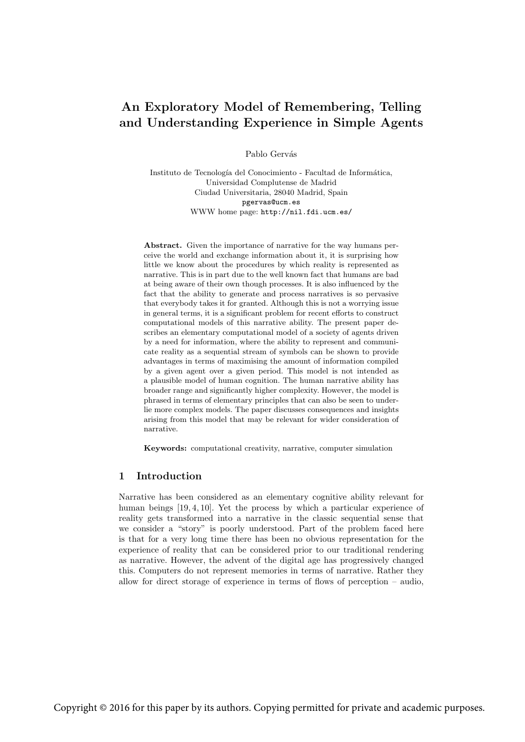# An Exploratory Model of Remembering, Telling and Understanding Experience in Simple Agents

Pablo Gervás

Instituto de Tecnología del Conocimiento - Facultad de Informática, Universidad Complutense de Madrid Ciudad Universitaria, 28040 Madrid, Spain pgervas@ucm.es WWW home page: http://nil.fdi.ucm.es/

Abstract. Given the importance of narrative for the way humans perceive the world and exchange information about it, it is surprising how little we know about the procedures by which reality is represented as narrative. This is in part due to the well known fact that humans are bad at being aware of their own though processes. It is also influenced by the fact that the ability to generate and process narratives is so pervasive that everybody takes it for granted. Although this is not a worrying issue in general terms, it is a significant problem for recent efforts to construct computational models of this narrative ability. The present paper describes an elementary computational model of a society of agents driven by a need for information, where the ability to represent and communicate reality as a sequential stream of symbols can be shown to provide advantages in terms of maximising the amount of information compiled by a given agent over a given period. This model is not intended as a plausible model of human cognition. The human narrative ability has broader range and significantly higher complexity. However, the model is phrased in terms of elementary principles that can also be seen to underlie more complex models. The paper discusses consequences and insights arising from this model that may be relevant for wider consideration of narrative.

Keywords: computational creativity, narrative, computer simulation

# 1 Introduction

Narrative has been considered as an elementary cognitive ability relevant for human beings [19, 4, 10]. Yet the process by which a particular experience of reality gets transformed into a narrative in the classic sequential sense that we consider a "story" is poorly understood. Part of the problem faced here is that for a very long time there has been no obvious representation for the experience of reality that can be considered prior to our traditional rendering as narrative. However, the advent of the digital age has progressively changed this. Computers do not represent memories in terms of narrative. Rather they allow for direct storage of experience in terms of flows of perception – audio,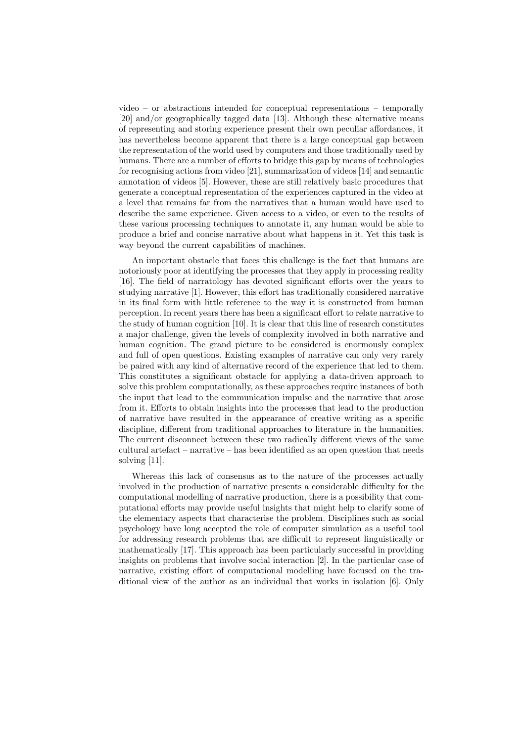video – or abstractions intended for conceptual representations – temporally [20] and/or geographically tagged data [13]. Although these alternative means of representing and storing experience present their own peculiar affordances, it has nevertheless become apparent that there is a large conceptual gap between the representation of the world used by computers and those traditionally used by humans. There are a number of efforts to bridge this gap by means of technologies for recognising actions from video [21], summarization of videos [14] and semantic annotation of videos [5]. However, these are still relatively basic procedures that generate a conceptual representation of the experiences captured in the video at a level that remains far from the narratives that a human would have used to describe the same experience. Given access to a video, or even to the results of these various processing techniques to annotate it, any human would be able to produce a brief and concise narrative about what happens in it. Yet this task is way beyond the current capabilities of machines.

An important obstacle that faces this challenge is the fact that humans are notoriously poor at identifying the processes that they apply in processing reality [16]. The field of narratology has devoted significant efforts over the years to studying narrative [1]. However, this effort has traditionally considered narrative in its final form with little reference to the way it is constructed from human perception. In recent years there has been a significant effort to relate narrative to the study of human cognition [10]. It is clear that this line of research constitutes a major challenge, given the levels of complexity involved in both narrative and human cognition. The grand picture to be considered is enormously complex and full of open questions. Existing examples of narrative can only very rarely be paired with any kind of alternative record of the experience that led to them. This constitutes a significant obstacle for applying a data-driven approach to solve this problem computationally, as these approaches require instances of both the input that lead to the communication impulse and the narrative that arose from it. Efforts to obtain insights into the processes that lead to the production of narrative have resulted in the appearance of creative writing as a specific discipline, different from traditional approaches to literature in the humanities. The current disconnect between these two radically different views of the same cultural artefact – narrative – has been identified as an open question that needs solving [11].

Whereas this lack of consensus as to the nature of the processes actually involved in the production of narrative presents a considerable difficulty for the computational modelling of narrative production, there is a possibility that computational efforts may provide useful insights that might help to clarify some of the elementary aspects that characterise the problem. Disciplines such as social psychology have long accepted the role of computer simulation as a useful tool for addressing research problems that are difficult to represent linguistically or mathematically [17]. This approach has been particularly successful in providing insights on problems that involve social interaction [2]. In the particular case of narrative, existing effort of computational modelling have focused on the traditional view of the author as an individual that works in isolation [6]. Only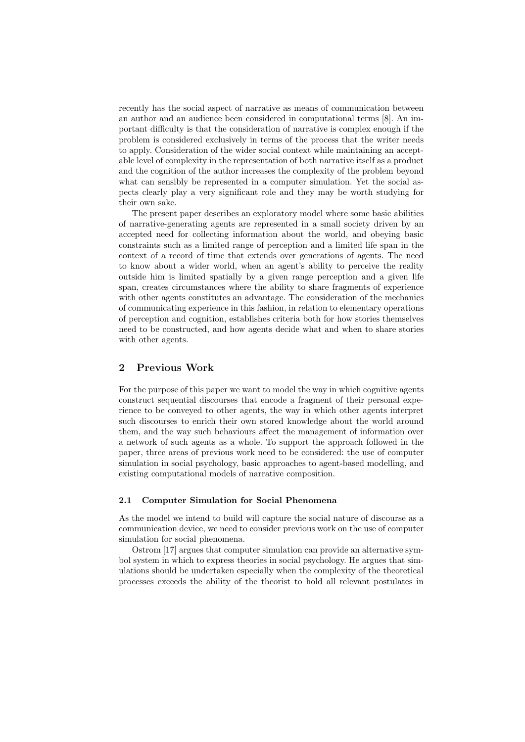recently has the social aspect of narrative as means of communication between an author and an audience been considered in computational terms [8]. An important difficulty is that the consideration of narrative is complex enough if the problem is considered exclusively in terms of the process that the writer needs to apply. Consideration of the wider social context while maintaining an acceptable level of complexity in the representation of both narrative itself as a product and the cognition of the author increases the complexity of the problem beyond what can sensibly be represented in a computer simulation. Yet the social aspects clearly play a very significant role and they may be worth studying for their own sake.

The present paper describes an exploratory model where some basic abilities of narrative-generating agents are represented in a small society driven by an accepted need for collecting information about the world, and obeying basic constraints such as a limited range of perception and a limited life span in the context of a record of time that extends over generations of agents. The need to know about a wider world, when an agent's ability to perceive the reality outside him is limited spatially by a given range perception and a given life span, creates circumstances where the ability to share fragments of experience with other agents constitutes an advantage. The consideration of the mechanics of communicating experience in this fashion, in relation to elementary operations of perception and cognition, establishes criteria both for how stories themselves need to be constructed, and how agents decide what and when to share stories with other agents.

### 2 Previous Work

For the purpose of this paper we want to model the way in which cognitive agents construct sequential discourses that encode a fragment of their personal experience to be conveyed to other agents, the way in which other agents interpret such discourses to enrich their own stored knowledge about the world around them, and the way such behaviours affect the management of information over a network of such agents as a whole. To support the approach followed in the paper, three areas of previous work need to be considered: the use of computer simulation in social psychology, basic approaches to agent-based modelling, and existing computational models of narrative composition.

### 2.1 Computer Simulation for Social Phenomena

As the model we intend to build will capture the social nature of discourse as a communication device, we need to consider previous work on the use of computer simulation for social phenomena.

Ostrom [17] argues that computer simulation can provide an alternative symbol system in which to express theories in social psychology. He argues that simulations should be undertaken especially when the complexity of the theoretical processes exceeds the ability of the theorist to hold all relevant postulates in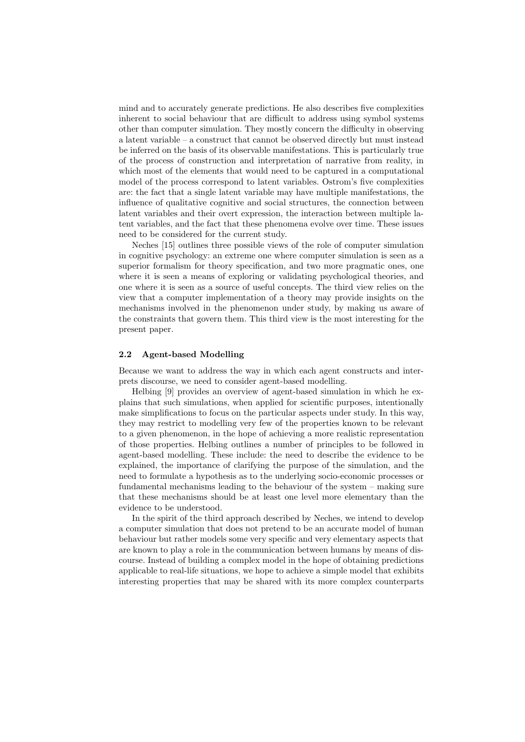mind and to accurately generate predictions. He also describes five complexities inherent to social behaviour that are difficult to address using symbol systems other than computer simulation. They mostly concern the difficulty in observing a latent variable – a construct that cannot be observed directly but must instead be inferred on the basis of its observable manifestations. This is particularly true of the process of construction and interpretation of narrative from reality, in which most of the elements that would need to be captured in a computational model of the process correspond to latent variables. Ostrom's five complexities are: the fact that a single latent variable may have multiple manifestations, the influence of qualitative cognitive and social structures, the connection between latent variables and their overt expression, the interaction between multiple latent variables, and the fact that these phenomena evolve over time. These issues need to be considered for the current study.

Neches [15] outlines three possible views of the role of computer simulation in cognitive psychology: an extreme one where computer simulation is seen as a superior formalism for theory specification, and two more pragmatic ones, one where it is seen a means of exploring or validating psychological theories, and one where it is seen as a source of useful concepts. The third view relies on the view that a computer implementation of a theory may provide insights on the mechanisms involved in the phenomenon under study, by making us aware of the constraints that govern them. This third view is the most interesting for the present paper.

### 2.2 Agent-based Modelling

Because we want to address the way in which each agent constructs and interprets discourse, we need to consider agent-based modelling.

Helbing [9] provides an overview of agent-based simulation in which he explains that such simulations, when applied for scientific purposes, intentionally make simplifications to focus on the particular aspects under study. In this way, they may restrict to modelling very few of the properties known to be relevant to a given phenomenon, in the hope of achieving a more realistic representation of those properties. Helbing outlines a number of principles to be followed in agent-based modelling. These include: the need to describe the evidence to be explained, the importance of clarifying the purpose of the simulation, and the need to formulate a hypothesis as to the underlying socio-economic processes or fundamental mechanisms leading to the behaviour of the system – making sure that these mechanisms should be at least one level more elementary than the evidence to be understood.

In the spirit of the third approach described by Neches, we intend to develop a computer simulation that does not pretend to be an accurate model of human behaviour but rather models some very specific and very elementary aspects that are known to play a role in the communication between humans by means of discourse. Instead of building a complex model in the hope of obtaining predictions applicable to real-life situations, we hope to achieve a simple model that exhibits interesting properties that may be shared with its more complex counterparts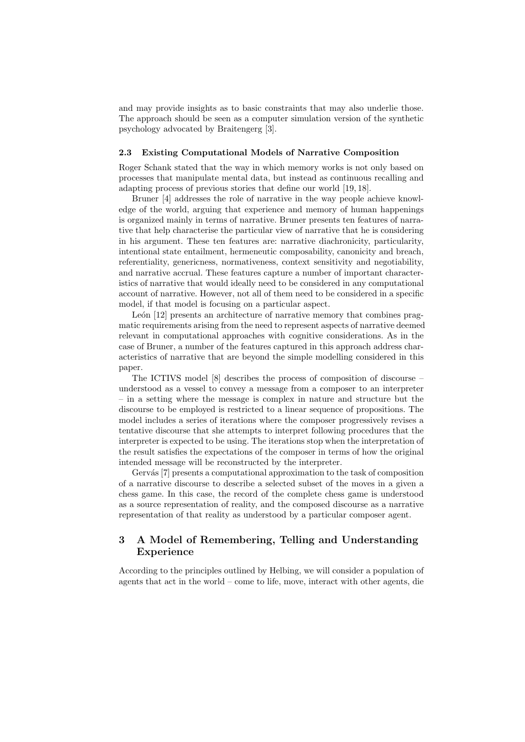and may provide insights as to basic constraints that may also underlie those. The approach should be seen as a computer simulation version of the synthetic psychology advocated by Braitengerg [3].

### 2.3 Existing Computational Models of Narrative Composition

Roger Schank stated that the way in which memory works is not only based on processes that manipulate mental data, but instead as continuous recalling and adapting process of previous stories that define our world [19, 18].

Bruner [4] addresses the role of narrative in the way people achieve knowledge of the world, arguing that experience and memory of human happenings is organized mainly in terms of narrative. Bruner presents ten features of narrative that help characterise the particular view of narrative that he is considering in his argument. These ten features are: narrative diachronicity, particularity, intentional state entailment, hermeneutic composability, canonicity and breach, referentiality, genericness, normativeness, context sensitivity and negotiability, and narrative accrual. These features capture a number of important characteristics of narrative that would ideally need to be considered in any computational account of narrative. However, not all of them need to be considered in a specific model, if that model is focusing on a particular aspect.

León [12] presents an architecture of narrative memory that combines pragmatic requirements arising from the need to represent aspects of narrative deemed relevant in computational approaches with cognitive considerations. As in the case of Bruner, a number of the features captured in this approach address characteristics of narrative that are beyond the simple modelling considered in this paper.

The ICTIVS model [8] describes the process of composition of discourse – understood as a vessel to convey a message from a composer to an interpreter – in a setting where the message is complex in nature and structure but the discourse to be employed is restricted to a linear sequence of propositions. The model includes a series of iterations where the composer progressively revises a tentative discourse that she attempts to interpret following procedures that the interpreter is expected to be using. The iterations stop when the interpretation of the result satisfies the expectations of the composer in terms of how the original intended message will be reconstructed by the interpreter.

Gervás [7] presents a computational approximation to the task of composition of a narrative discourse to describe a selected subset of the moves in a given a chess game. In this case, the record of the complete chess game is understood as a source representation of reality, and the composed discourse as a narrative representation of that reality as understood by a particular composer agent.

# 3 A Model of Remembering, Telling and Understanding Experience

According to the principles outlined by Helbing, we will consider a population of agents that act in the world – come to life, move, interact with other agents, die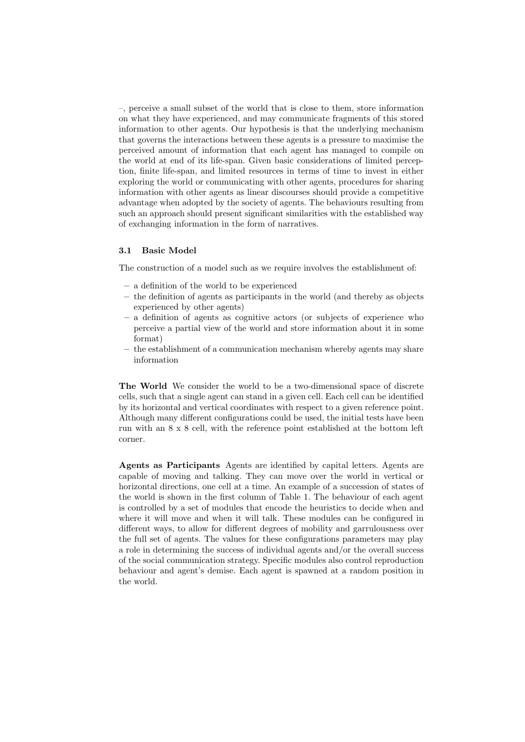–, perceive a small subset of the world that is close to them, store information on what they have experienced, and may communicate fragments of this stored information to other agents. Our hypothesis is that the underlying mechanism that governs the interactions between these agents is a pressure to maximise the perceived amount of information that each agent has managed to compile on the world at end of its life-span. Given basic considerations of limited perception, finite life-span, and limited resources in terms of time to invest in either exploring the world or communicating with other agents, procedures for sharing information with other agents as linear discourses should provide a competitive advantage when adopted by the society of agents. The behaviours resulting from such an approach should present significant similarities with the established way of exchanging information in the form of narratives.

### 3.1 Basic Model

The construction of a model such as we require involves the establishment of:

- a definition of the world to be experienced
- the definition of agents as participants in the world (and thereby as objects experienced by other agents)
- a definition of agents as cognitive actors (or subjects of experience who perceive a partial view of the world and store information about it in some format)
- the establishment of a communication mechanism whereby agents may share information

The World We consider the world to be a two-dimensional space of discrete cells, such that a single agent can stand in a given cell. Each cell can be identified by its horizontal and vertical coordinates with respect to a given reference point. Although many different configurations could be used, the initial tests have been run with an 8 x 8 cell, with the reference point established at the bottom left corner.

Agents as Participants Agents are identified by capital letters. Agents are capable of moving and talking. They can move over the world in vertical or horizontal directions, one cell at a time. An example of a succession of states of the world is shown in the first column of Table 1. The behaviour of each agent is controlled by a set of modules that encode the heuristics to decide when and where it will move and when it will talk. These modules can be configured in different ways, to allow for different degrees of mobility and garrulousness over the full set of agents. The values for these configurations parameters may play a role in determining the success of individual agents and/or the overall success of the social communication strategy. Specific modules also control reproduction behaviour and agent's demise. Each agent is spawned at a random position in the world.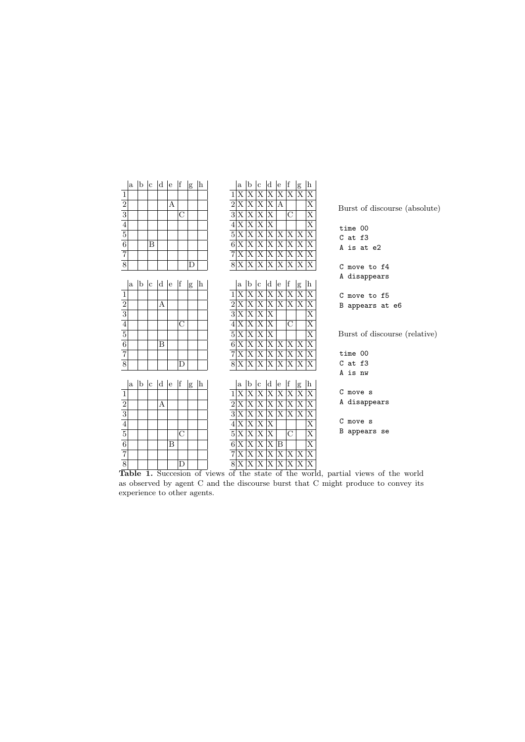| a                                |                     | b c d e |     |   | <sup>1</sup> f |              | <sup>h</sup> |                | $\mathbf{a}$                                                                                                                                                | b                                               | c                        | $ d $ e                                                                                                                                                                                                                       | f                                        |                           | h                                                  |                               |
|----------------------------------|---------------------|---------|-----|---|----------------|--------------|--------------|----------------|-------------------------------------------------------------------------------------------------------------------------------------------------------------|-------------------------------------------------|--------------------------|-------------------------------------------------------------------------------------------------------------------------------------------------------------------------------------------------------------------------------|------------------------------------------|---------------------------|----------------------------------------------------|-------------------------------|
| $\,1$                            |                     |         |     |   |                | $\mathbf{g}$ |              |                | 1 X                                                                                                                                                         | $ {\rm X} $                                     | $\overline{\mathrm{X}}$  | $\overline{\mathrm{X}}$                                                                                                                                                                                                       | X X X                                    | g                         | $\overline{\mathrm{X}}$                            |                               |
|                                  |                     |         |     | А |                |              |              |                |                                                                                                                                                             |                                                 |                          |                                                                                                                                                                                                                               |                                          |                           | $\overline{\text{X}}$                              |                               |
| $\frac{2}{3}$                    |                     |         |     |   | $\overline{C}$ |              |              |                |                                                                                                                                                             |                                                 |                          | $\begin{array}{c c c c c} \hline 2 & X & X & X & X \\ \hline 2 & X & X & X & X \\ \hline 3 & X & X & X & X \\ \hline 4 & X & X & X & X \\ \hline 5 & X & X & X & X & X \\ \hline 6 & X & X & X & X & X \\ \hline \end{array}$ |                                          |                           | $\overline{\mathrm{X}}$                            | Burst of discourse (absolute) |
|                                  |                     |         |     |   |                |              |              |                |                                                                                                                                                             |                                                 |                          |                                                                                                                                                                                                                               |                                          |                           | $\overline{\mathrm{x}}$                            |                               |
|                                  |                     |         |     |   |                |              |              |                |                                                                                                                                                             |                                                 |                          |                                                                                                                                                                                                                               |                                          |                           | $\overline{\mathrm{x}}$                            | time 00                       |
| $\frac{5}{6}$                    |                     |         |     |   |                |              |              |                |                                                                                                                                                             |                                                 |                          |                                                                                                                                                                                                                               |                                          |                           |                                                    | $C$ at $f3$                   |
|                                  |                     | B       |     |   |                |              |              | $\overline{7}$ |                                                                                                                                                             |                                                 |                          |                                                                                                                                                                                                                               |                                          |                           | X                                                  | A is at e2                    |
| $\overline{7}$<br>$\overline{8}$ |                     |         |     |   |                |              |              |                | 8X                                                                                                                                                          | X X X                                           |                          |                                                                                                                                                                                                                               | X X X X                                  |                           | $ {\rm X} $                                        |                               |
|                                  |                     |         |     |   |                | D            |              |                |                                                                                                                                                             | $ \mathrm{X} \mathrm{X}$                        |                          |                                                                                                                                                                                                                               |                                          |                           | X X X X X                                          | C move to f4                  |
|                                  |                     |         |     |   |                |              |              |                |                                                                                                                                                             |                                                 |                          |                                                                                                                                                                                                                               |                                          |                           |                                                    | A disappears                  |
| a                                |                     | b c d e |     |   | f              | $\mathbf{g}$ | $\ln$        |                | $\rm{a}$                                                                                                                                                    | b                                               | c                        | d e<br>$\overline{\mathrm{X}}$                                                                                                                                                                                                | <sup> </sup> f<br>X X X                  | g                         | h<br>$\overline{\mathrm{X}}$                       |                               |
| 1                                |                     |         | А   |   |                |              |              |                |                                                                                                                                                             | X X<br>$\overline{\mathbf{X} \mathbf{X}}$       |                          |                                                                                                                                                                                                                               | X X X X                                  |                           |                                                    | C move to f5                  |
| $\frac{2}{3}$                    |                     |         |     |   |                |              |              |                | $\frac{1 \text{ X}}{2 \text{ X}}$<br>$\frac{3 \text{ X}}{4 \text{ X}}$<br>$\frac{4 \text{ X}}{5 \text{ X}}$<br>$\frac{5 \text{ X}}{6 \text{ X}}$            |                                                 |                          | X                                                                                                                                                                                                                             |                                          |                           | $\overline{\mathrm{X}}$<br>$\overline{\mathrm{X}}$ | B appears at e6               |
|                                  |                     |         |     |   |                |              |              |                |                                                                                                                                                             | $ \overline{X} \overline{X}$                    |                          |                                                                                                                                                                                                                               |                                          |                           |                                                    |                               |
|                                  |                     |         |     |   | $\overline{C}$ |              |              |                |                                                                                                                                                             | $\overline{\mathrm{X} \mathrm{X}}$              |                          | $\overline{\textbf{X}}$                                                                                                                                                                                                       | $\overline{C}$                           |                           | $\overline{\mathrm{X}}$                            |                               |
| $\frac{4}{5}$                    |                     |         |     |   |                |              |              |                |                                                                                                                                                             | $ \mathrm{X}  \overline{\mathrm{X}}$            |                          | $\overline{\mathrm{X}}$                                                                                                                                                                                                       |                                          |                           | $\overline{\text{X}}$                              | Burst of discourse (relative) |
| $\overline{7}$                   |                     |         | B   |   |                |              |              |                |                                                                                                                                                             | $\overline{\mathbf{X}}$ $\overline{\mathbf{X}}$ |                          |                                                                                                                                                                                                                               | $\overline{X} \overline{X} \overline{X}$ | $ \overline{\mathrm{X}} $ | $\overline{\text{X}}$                              |                               |
|                                  |                     |         |     |   |                |              |              |                |                                                                                                                                                             |                                                 |                          | 7XXXXXXX                                                                                                                                                                                                                      |                                          |                           | ΙX                                                 | time 00                       |
| $\overline{8}$                   |                     |         |     |   | D              |              |              |                |                                                                                                                                                             | 8XX                                             |                          |                                                                                                                                                                                                                               | X X X                                    | X X                       |                                                    | $C$ at $f3$                   |
|                                  |                     |         |     |   |                |              |              |                |                                                                                                                                                             |                                                 |                          |                                                                                                                                                                                                                               |                                          |                           |                                                    | A is nw                       |
| la.                              | $ {\bf b} {\bf c} $ |         | d e |   | f              | $\mathbf{g}$ | $\ln$        |                | $\mathbf{a}$                                                                                                                                                | $ {\bf b} $ $ {\bf c} $                         |                          | d e                                                                                                                                                                                                                           | f                                        | $\mathbf{g}% _{T}$        | h                                                  |                               |
| $\mathbf{1}$                     |                     |         |     |   |                |              |              |                |                                                                                                                                                             |                                                 | $ \mathrm{X} \mathrm{X}$ | $\overline{X X}$                                                                                                                                                                                                              | $\overline{\mathrm{X}}$                  | $\overline{\mathrm{x}}$   | X                                                  | C move s                      |
|                                  |                     |         | А   |   |                |              |              |                |                                                                                                                                                             | $\overline{\mathrm{X} \mathrm{X}}$              |                          | $\overline{X X}$                                                                                                                                                                                                              | $\overline{\mathrm{X} \mathrm{X}}$       |                           | $\overline{\mathrm{X}}$                            | A disappears                  |
| $\frac{2}{3}$                    |                     |         |     |   |                |              |              |                |                                                                                                                                                             | $ \overline{X} \overline{X}$                    |                          |                                                                                                                                                                                                                               | X X X X                                  |                           | X                                                  | C move s                      |
|                                  |                     |         |     |   |                |              |              |                |                                                                                                                                                             | X X                                             |                          | X                                                                                                                                                                                                                             |                                          |                           | X                                                  |                               |
| $\overline{5}$                   |                     |         |     |   | $\rm C$        |              |              |                | $\begin{array}{c c}\n\text{1 X} \\ \hline\n\text{2 X} \\ \hline\n\text{3 X} \\ \hline\n\text{4 X} \\ \hline\n\text{5 X} \\ \hline\n\text{6 X}\n\end{array}$ | $\overline{\mathrm{X}}$ $\overline{\mathrm{X}}$ |                          | $\overline{\mathrm{X}}$                                                                                                                                                                                                       | $\overline{C}$                           |                           | $\overline{\mathrm{X}}$                            | B appears se                  |
| $\overline{6}$                   |                     |         |     | B |                |              |              |                |                                                                                                                                                             | $\overline{\mathrm{X} \mathrm{X}}$              |                          | $\overline{X B}$                                                                                                                                                                                                              |                                          |                           | $\overline{\mathrm{x}}$                            |                               |
| $\overline{7}$                   |                     |         |     |   |                |              |              |                | 7X                                                                                                                                                          | $ \mathbf{X}  \mathbf{X}$                       |                          | $X$ $X$ $X$ $X$                                                                                                                                                                                                               |                                          |                           | X                                                  |                               |
| $\overline{8}$                   |                     |         |     |   | D              |              |              |                | 8X                                                                                                                                                          | $ \mathrm{X}  \mathrm{X}$                       |                          | X X X                                                                                                                                                                                                                         |                                          | $\overline{\mathrm{X}}$   | $\overline{\mathrm{X}}$                            |                               |

Table 1. Succession of views of the state of the world, partial views of the world as observed by agent C and the discourse burst that C might produce to convey its experience to other agents.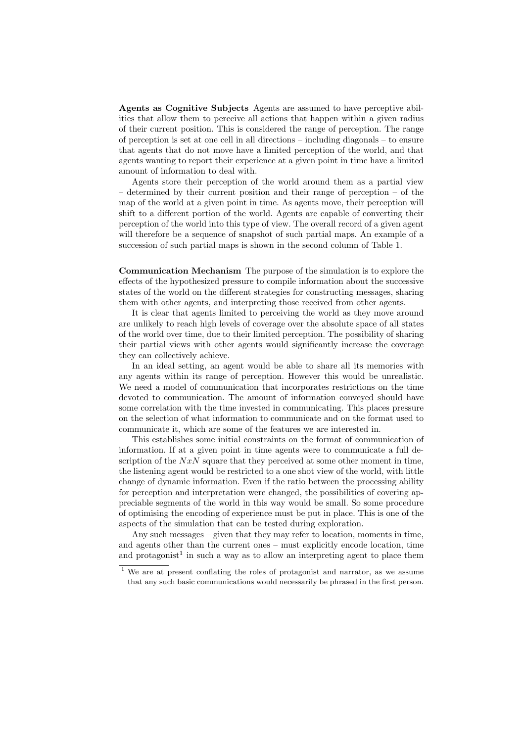Agents as Cognitive Subjects Agents are assumed to have perceptive abilities that allow them to perceive all actions that happen within a given radius of their current position. This is considered the range of perception. The range of perception is set at one cell in all directions – including diagonals – to ensure that agents that do not move have a limited perception of the world, and that agents wanting to report their experience at a given point in time have a limited amount of information to deal with.

Agents store their perception of the world around them as a partial view – determined by their current position and their range of perception – of the map of the world at a given point in time. As agents move, their perception will shift to a different portion of the world. Agents are capable of converting their perception of the world into this type of view. The overall record of a given agent will therefore be a sequence of snapshot of such partial maps. An example of a succession of such partial maps is shown in the second column of Table 1.

Communication Mechanism The purpose of the simulation is to explore the effects of the hypothesized pressure to compile information about the successive states of the world on the different strategies for constructing messages, sharing them with other agents, and interpreting those received from other agents.

It is clear that agents limited to perceiving the world as they move around are unlikely to reach high levels of coverage over the absolute space of all states of the world over time, due to their limited perception. The possibility of sharing their partial views with other agents would significantly increase the coverage they can collectively achieve.

In an ideal setting, an agent would be able to share all its memories with any agents within its range of perception. However this would be unrealistic. We need a model of communication that incorporates restrictions on the time devoted to communication. The amount of information conveyed should have some correlation with the time invested in communicating. This places pressure on the selection of what information to communicate and on the format used to communicate it, which are some of the features we are interested in.

This establishes some initial constraints on the format of communication of information. If at a given point in time agents were to communicate a full description of the  $NxN$  square that they perceived at some other moment in time, the listening agent would be restricted to a one shot view of the world, with little change of dynamic information. Even if the ratio between the processing ability for perception and interpretation were changed, the possibilities of covering appreciable segments of the world in this way would be small. So some procedure of optimising the encoding of experience must be put in place. This is one of the aspects of the simulation that can be tested during exploration.

Any such messages – given that they may refer to location, moments in time, and agents other than the current ones – must explicitly encode location, time and protagonist<sup>1</sup> in such a way as to allow an interpreting agent to place them

<sup>&</sup>lt;sup>1</sup> We are at present conflating the roles of protagonist and narrator, as we assume that any such basic communications would necessarily be phrased in the first person.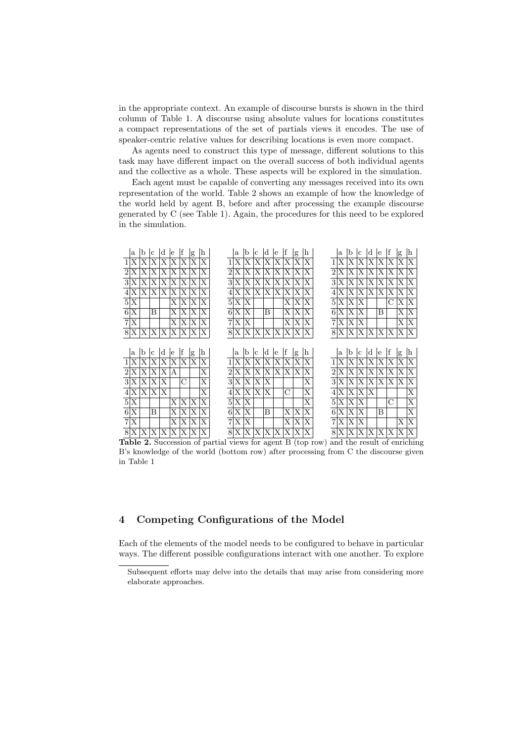in the appropriate context. An example of discourse bursts is shown in the third column of Table 1. A discourse using absolute values for locations constitutes a compact representations of the set of partials views it encodes. The use of speaker-centric relative values for describing locations is even more compact.

As agents need to construct this type of message, different solutions to this task may have different impact on the overall success of both individual agents and the collective as a whole. These aspects will be explored in the simulation.

Each agent must be capable of converting any messages received into its own representation of the world. Table 2 shows an example of how the knowledge of the world held by agent B, before and after processing the example discourse generated by C (see Table 1). Again, the procedures for this need to be explored in the simulation.



**Table 2.** Succession of partial views for agent B (top row) and the result of enriching B's knowledge of the world (bottom row) after processing from C the discourse given in Table 1

#### Competing Configurations of the Model  $\overline{\mathbf{4}}$

Each of the elements of the model needs to be configured to behave in particular ways. The different possible configurations interact with one another. To explore

Subsequent efforts may delve into the details that may arise from considering more elaborate approaches.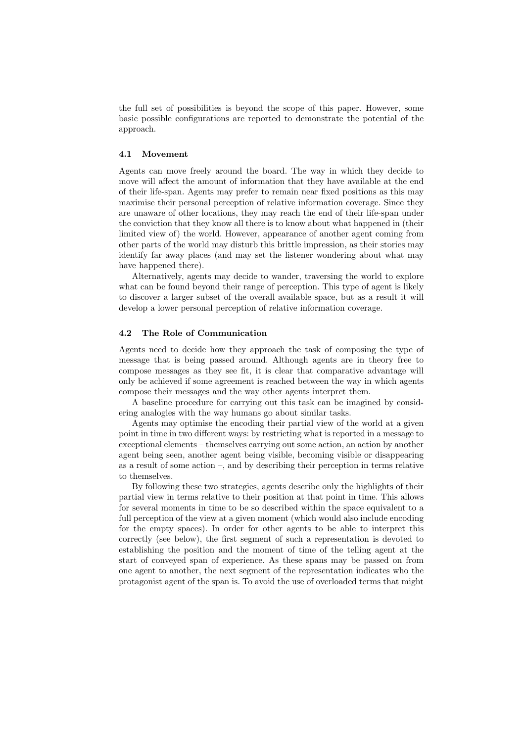the full set of possibilities is beyond the scope of this paper. However, some basic possible configurations are reported to demonstrate the potential of the approach.

### 4.1 Movement

Agents can move freely around the board. The way in which they decide to move will affect the amount of information that they have available at the end of their life-span. Agents may prefer to remain near fixed positions as this may maximise their personal perception of relative information coverage. Since they are unaware of other locations, they may reach the end of their life-span under the conviction that they know all there is to know about what happened in (their limited view of) the world. However, appearance of another agent coming from other parts of the world may disturb this brittle impression, as their stories may identify far away places (and may set the listener wondering about what may have happened there).

Alternatively, agents may decide to wander, traversing the world to explore what can be found beyond their range of perception. This type of agent is likely to discover a larger subset of the overall available space, but as a result it will develop a lower personal perception of relative information coverage.

### 4.2 The Role of Communication

Agents need to decide how they approach the task of composing the type of message that is being passed around. Although agents are in theory free to compose messages as they see fit, it is clear that comparative advantage will only be achieved if some agreement is reached between the way in which agents compose their messages and the way other agents interpret them.

A baseline procedure for carrying out this task can be imagined by considering analogies with the way humans go about similar tasks.

Agents may optimise the encoding their partial view of the world at a given point in time in two different ways: by restricting what is reported in a message to exceptional elements – themselves carrying out some action, an action by another agent being seen, another agent being visible, becoming visible or disappearing as a result of some action –, and by describing their perception in terms relative to themselves.

By following these two strategies, agents describe only the highlights of their partial view in terms relative to their position at that point in time. This allows for several moments in time to be so described within the space equivalent to a full perception of the view at a given moment (which would also include encoding for the empty spaces). In order for other agents to be able to interpret this correctly (see below), the first segment of such a representation is devoted to establishing the position and the moment of time of the telling agent at the start of conveyed span of experience. As these spans may be passed on from one agent to another, the next segment of the representation indicates who the protagonist agent of the span is. To avoid the use of overloaded terms that might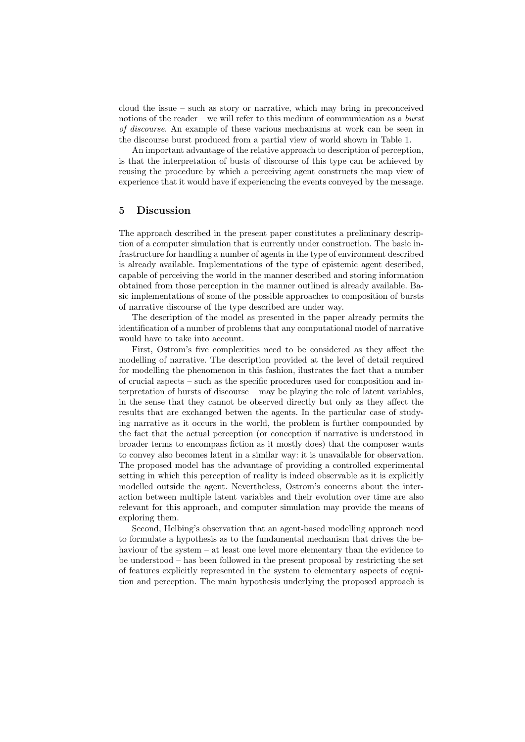cloud the issue – such as story or narrative, which may bring in preconceived notions of the reader – we will refer to this medium of communication as a *burst* of discourse. An example of these various mechanisms at work can be seen in the discourse burst produced from a partial view of world shown in Table 1.

An important advantage of the relative approach to description of perception, is that the interpretation of busts of discourse of this type can be achieved by reusing the procedure by which a perceiving agent constructs the map view of experience that it would have if experiencing the events conveyed by the message.

# 5 Discussion

The approach described in the present paper constitutes a preliminary description of a computer simulation that is currently under construction. The basic infrastructure for handling a number of agents in the type of environment described is already available. Implementations of the type of epistemic agent described, capable of perceiving the world in the manner described and storing information obtained from those perception in the manner outlined is already available. Basic implementations of some of the possible approaches to composition of bursts of narrative discourse of the type described are under way.

The description of the model as presented in the paper already permits the identification of a number of problems that any computational model of narrative would have to take into account.

First, Ostrom's five complexities need to be considered as they affect the modelling of narrative. The description provided at the level of detail required for modelling the phenomenon in this fashion, ilustrates the fact that a number of crucial aspects – such as the specific procedures used for composition and interpretation of bursts of discourse – may be playing the role of latent variables, in the sense that they cannot be observed directly but only as they affect the results that are exchanged betwen the agents. In the particular case of studying narrative as it occurs in the world, the problem is further compounded by the fact that the actual perception (or conception if narrative is understood in broader terms to encompass fiction as it mostly does) that the composer wants to convey also becomes latent in a similar way: it is unavailable for observation. The proposed model has the advantage of providing a controlled experimental setting in which this perception of reality is indeed observable as it is explicitly modelled outside the agent. Nevertheless, Ostrom's concerns about the interaction between multiple latent variables and their evolution over time are also relevant for this approach, and computer simulation may provide the means of exploring them.

Second, Helbing's observation that an agent-based modelling approach need to formulate a hypothesis as to the fundamental mechanism that drives the behaviour of the system – at least one level more elementary than the evidence to be understood – has been followed in the present proposal by restricting the set of features explicitly represented in the system to elementary aspects of cognition and perception. The main hypothesis underlying the proposed approach is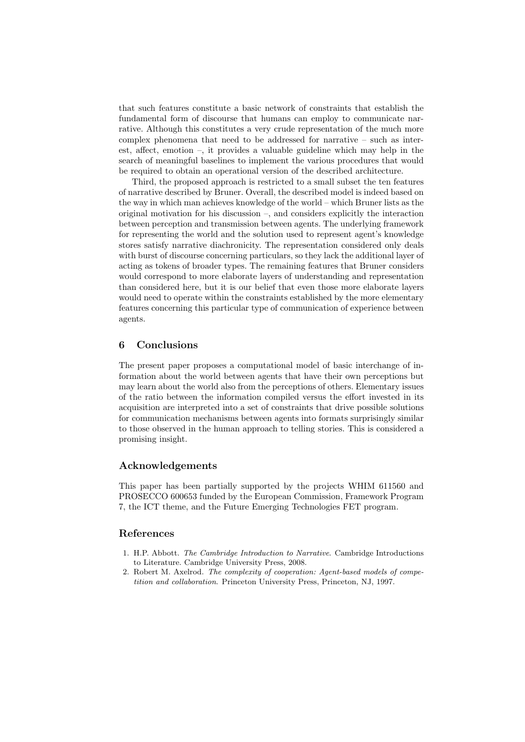that such features constitute a basic network of constraints that establish the fundamental form of discourse that humans can employ to communicate narrative. Although this constitutes a very crude representation of the much more complex phenomena that need to be addressed for narrative – such as interest, affect, emotion –, it provides a valuable guideline which may help in the search of meaningful baselines to implement the various procedures that would be required to obtain an operational version of the described architecture.

Third, the proposed approach is restricted to a small subset the ten features of narrative described by Bruner. Overall, the described model is indeed based on the way in which man achieves knowledge of the world – which Bruner lists as the original motivation for his discussion –, and considers explicitly the interaction between perception and transmission between agents. The underlying framework for representing the world and the solution used to represent agent's knowledge stores satisfy narrative diachronicity. The representation considered only deals with burst of discourse concerning particulars, so they lack the additional layer of acting as tokens of broader types. The remaining features that Bruner considers would correspond to more elaborate layers of understanding and representation than considered here, but it is our belief that even those more elaborate layers would need to operate within the constraints established by the more elementary features concerning this particular type of communication of experience between agents.

# 6 Conclusions

The present paper proposes a computational model of basic interchange of information about the world between agents that have their own perceptions but may learn about the world also from the perceptions of others. Elementary issues of the ratio between the information compiled versus the effort invested in its acquisition are interpreted into a set of constraints that drive possible solutions for communication mechanisms between agents into formats surprisingly similar to those observed in the human approach to telling stories. This is considered a promising insight.

### Acknowledgements

This paper has been partially supported by the projects WHIM 611560 and PROSECCO 600653 funded by the European Commission, Framework Program 7, the ICT theme, and the Future Emerging Technologies FET program.

### References

- 1. H.P. Abbott. The Cambridge Introduction to Narrative. Cambridge Introductions to Literature. Cambridge University Press, 2008.
- 2. Robert M. Axelrod. The complexity of cooperation: Agent-based models of competition and collaboration. Princeton University Press, Princeton, NJ, 1997.